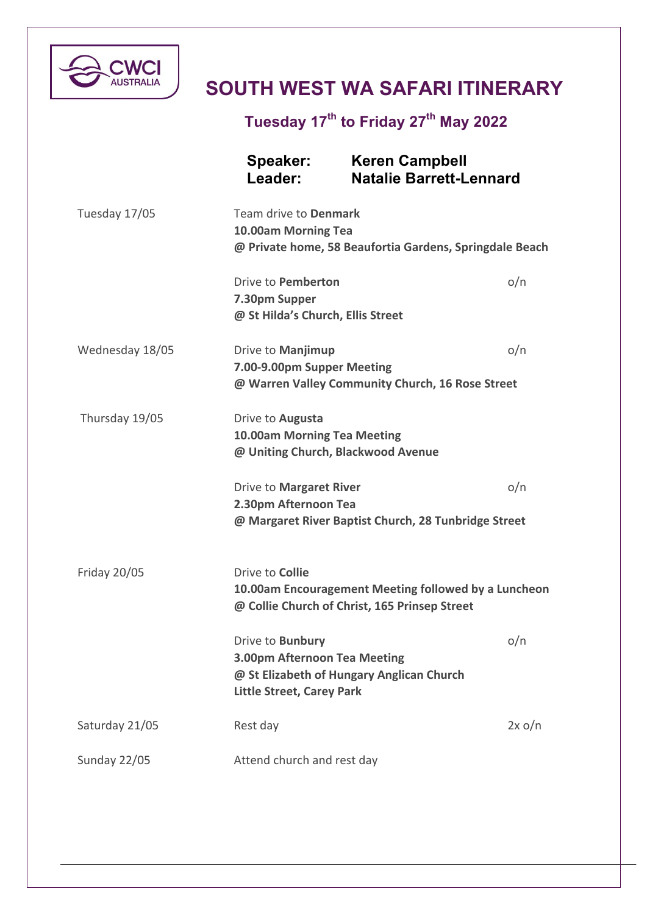

## **SOUTH WEST WA SAFARI ITINERARY**

**Tuesday 17th to Friday 27th May 2022**

|                     | Speaker:<br>Leader:                                                                                                             | <b>Keren Campbell</b><br><b>Natalie Barrett-Lennard</b>     |  |
|---------------------|---------------------------------------------------------------------------------------------------------------------------------|-------------------------------------------------------------|--|
| Tuesday 17/05       | Team drive to Denmark<br>10.00am Morning Tea<br>@ Private home, 58 Beaufortia Gardens, Springdale Beach                         |                                                             |  |
|                     | Drive to Pemberton<br>7.30pm Supper<br>@ St Hilda's Church, Ellis Street                                                        | o/n                                                         |  |
| Wednesday 18/05     | Drive to Manjimup<br>o/n<br>7.00-9.00pm Supper Meeting<br>@ Warren Valley Community Church, 16 Rose Street                      |                                                             |  |
| Thursday 19/05      | Drive to <b>Augusta</b><br><b>10.00am Morning Tea Meeting</b><br>@ Uniting Church, Blackwood Avenue                             |                                                             |  |
|                     | Drive to Margaret River<br>2.30pm Afternoon Tea                                                                                 | o/n<br>@ Margaret River Baptist Church, 28 Tunbridge Street |  |
| <b>Friday 20/05</b> | Drive to <b>Collie</b><br>10.00am Encouragement Meeting followed by a Luncheon<br>@ Collie Church of Christ, 165 Prinsep Street |                                                             |  |
|                     | Drive to <b>Bunbury</b><br>3.00pm Afternoon Tea Meeting<br><b>Little Street, Carey Park</b>                                     | o/n<br>@ St Elizabeth of Hungary Anglican Church            |  |
| Saturday 21/05      | Rest day                                                                                                                        | 2x o/n                                                      |  |
| Sunday 22/05        | Attend church and rest day                                                                                                      |                                                             |  |